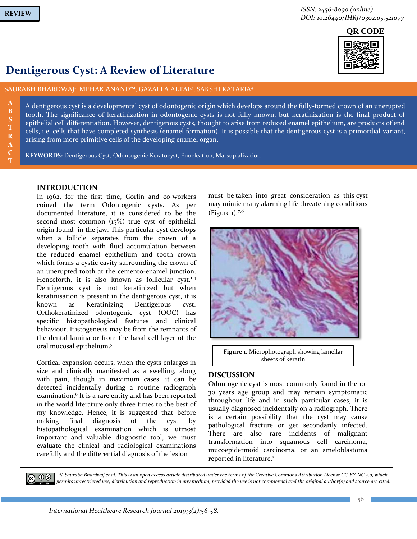**B**

**R A C T**

**QR CODE**

# **Dentigerous Cyst: A Review of Literature**

# SAURABH BHARDWAJ<sup>i</sup>, MEHAK ANAND\*<sup>2</sup>, GAZALLA ALTAF<sup>3</sup>, SAKSHI KATARIA<sup>4</sup>

A dentigerous cyst is a developmental cyst of odontogenic origin which develops around the fully-formed crown of an unerupted tooth. The significance of keratinization in odontogenic cysts is not fully known, but keratinization is the final product of epithelial cell differentiation. However, dentigerous cysts, thought to arise from reduced enamel epithelium, are products of end cells, i.e. cells that have completed synthesis (enamel formation). It is possible that the dentigerous cyst is a primordial variant, arising from more primitive cells of the developing enamel organ.

**KEYWORDS:** Dentigerous Cyst, Odontogenic Keratocyst, Enucleation, Marsupialization

# **INTRODUCTION**

In 1962, for the first time, Gorlin and co-workers coined the term Odontogenic cysts. As per documented literature, it is considered to be the second most common (15%) true cyst of epithelial origin found in the jaw. This particular cyst develops when a follicle separates from the crown of a developing tooth with fluid accumulation between the reduced enamel epithelium and tooth crown which forms a cystic cavity surrounding the crown of an unerupted tooth at the cemento-enamel junction. Henceforth, it is also known as follicular cyst.<sup>1-4</sup> Dentigerous cyst is not keratinized but when keratinisation is present in the dentigerous cyst, it is known as Keratinizing Dentigerous cyst. Orthokeratinized odontogenic cyst (OOC) has specific histopathological features and clinical behaviour. Histogenesis may be from the remnants of the dental lamina or from the basal cell layer of the oral mucosal epithelium. 5

Cortical expansion occurs, when the cysts enlarges in size and clinically manifested as a swelling, along with pain, though in maximum cases, it can be detected incidentally during a routine radiograph examination.<sup>6</sup> It is a rare entity and has been reported in the world literature only three times to the best of my knowledge. Hence, it is suggested that before making final diagnosis of the cyst by histopathological examination which is utmost important and valuable diagnostic tool, we must evaluate the clinical and radiological examinations carefully and the differential diagnosis of the lesion

must be taken into great consideration as this cyst may mimic many alarming life threatening conditions (Figure  $_1$ ).<sup>7,8</sup>



**Figure 1.** Microphotograph showing lamellar sheets of keratin

# **DISCUSSION**

Odontogenic cyst is most commonly found in the 10- 30 years age group and may remain symptomatic throughout life and in such particular cases, it is usually diagnosed incidentally on a radiograph. There is a certain possibility that the cyst may cause pathological fracture or get secondarily infected. There are also rare incidents of malignant transformation into squamous cell carcinoma, mucoepidermoid carcinoma, or an ameloblastoma reported in literature.<sup>3</sup>



*© Saurabh Bhardwaj et al. This is an open access article distributed under the terms of the Creative Commons Attribution License CC-BY-NC 4.0, which permits unrestricted use, distribution and reproduction in any medium, provided the use is not commercial and the original author(s) and source are cited.*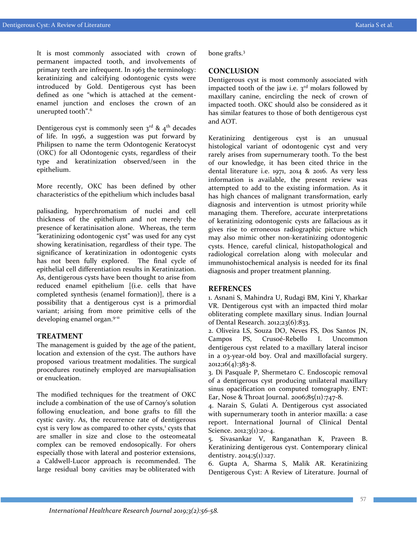It is most commonly associated with crown of permanent impacted tooth, and involvements of primary teeth are infrequent. In 1963 the terminology: keratinizing and calcifying odontogenic cysts were introduced by Gold. Dentigerous cyst has been defined as one "which is attached at the cementenamel junction and encloses the crown of an unerupted tooth".<sup>6</sup>

Dentigerous cyst is commonly seen  $3^{rd}$  &  $4^{th}$  decades of life. In 1956, a suggestion was put forward by Philipsen to name the term Odontogenic Keratocyst (OKC) for all Odontogenic cysts, regardless of their type and keratinization observed/seen in the epithelium.

More recently, OKC has been defined by other characteristics of the epithelium which includes basal

palisading, hyperchromatism of nuclei and cell thickness of the epithelium and not merely the presence of keratinisation alone. Whereas, the term "keratinizing odontogenic cyst" was used for any cyst showing keratinisation, regardless of their type. The significance of keratinization in odontogenic cysts has not been fully explored. The final cycle of epithelial cell differentiation results in Keratinization. As, dentigerous cysts have been thought to arise from reduced enamel epithelium [(i.e. cells that have completed synthesis (enamel formation)], there is a possibility that a dentigerous cyst is a primordial variant; arising from more primitive cells of the developing enamel organ.<sup>9-11</sup>

#### **TREATMENT**

The management is guided by the age of the patient, location and extension of the cyst. The authors have proposed various treatment modalities. The surgical procedures routinely employed are marsupialisation or enucleation.

The modified techniques for the treatment of OKC include a combination of the use of Carnoy's solution following enucleation, and bone grafts to fill the cystic cavity. As, the recurrence rate of dentigerous cyst is very low as compared to other cysts,<sup>1</sup> cysts that are smaller in size and close to the osteomeatal complex can be removed endosopically. For ohers especially those with lateral and posterior extensions, a Caldwell-Lucor approach is recommended. The large residual bony cavities may be obliterated with

bone grafts.<sup>3</sup>

#### **CONCLUSION**

Dentigerous cyst is most commonly associated with impacted tooth of the jaw i.e.  $3<sup>rd</sup>$  molars followed by maxillary canine, encircling the neck of crown of impacted tooth. OKC should also be considered as it has similar features to those of both dentigerous cyst and AOT.

Keratinizing dentigerous cyst is an unusual histological variant of odontogenic cyst and very rarely arises from supernumerary tooth. To the best of our knowledge, it has been cited thrice in the dental literature i.e. 1971, 2014 & 2016. As very less information is available, the present review was attempted to add to the existing information. As it has high chances of malignant transformation, early diagnosis and intervention is utmost priority while managing them. Therefore, accurate interpretations of keratinizing odontogenic cysts are fallacious as it gives rise to erroneous radiographic picture which may also mimic other non-keratinizing odontogenic cysts. Hence, careful clinical, histopathological and radiological correlation along with molecular and immunohistochemical analysis is needed for its final diagnosis and proper treatment planning.

#### **REFRENCES**

1. Asnani S, Mahindra U, Rudagi BM, Kini Y, Kharkar VR. Dentigerous cyst with an impacted third molar obliterating complete maxillary sinus. Indian Journal of Dental Research. 2012;23(6):833.

2. Oliveira LS, Souza DO, Neves FS, Dos Santos JN, Campos PS, Crusoé-Rebello I. Uncommon dentigerous cyst related to a maxillary lateral incisor in a 03-year-old boy. Oral and maxillofacial surgery.  $2012;16(4):383-8.$ 

3. Di Pasquale P, Shermetaro C. Endoscopic removal of a dentigerous cyst producing unilateral maxillary sinus opacification on computed tomography. ENT: Ear, Nose & Throat Journal. 2006;85 $(u)$ :747-8.

4. Narain S, Gulati A. Dentigerous cyst associated with supernumerary tooth in anterior maxilla: a case report. International Journal of Clinical Dental Science. 2012;3(1):20-4.

5. Sivasankar V, Ranganathan K, Praveen B. Keratinizing dentigerous cyst. Contemporary clinical dentistry. 2014;5(1):127.

6. Gupta A, Sharma S, Malik AR. Keratinizing Dentigerous Cyst: A Review of Literature. Journal of